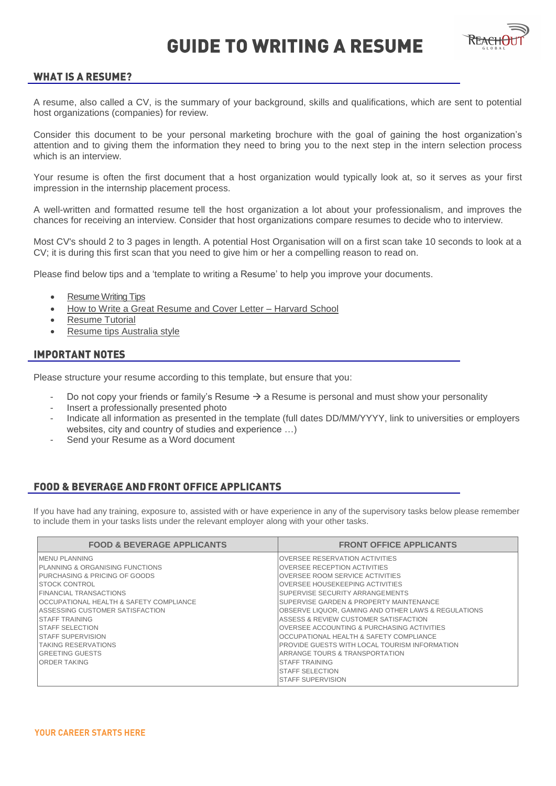

### **WHAT IS A RESUME?**

A resume, also called a CV, is the summary of your background, skills and qualifications, which are sent to potential host organizations (companies) for review.

Consider this document to be your personal marketing brochure with the goal of gaining the host organization's attention and to giving them the information they need to bring you to the next step in the intern selection process which is an interview.

Your resume is often the first document that a host organization would typically look at, so it serves as your first impression in the internship placement process.

A well-written and formatted resume tell the host organization a lot about your professionalism, and improves the chances for receiving an interview. Consider that host organizations compare resumes to decide who to interview.

Most CV's should 2 to 3 pages in length. A potential Host Organisation will on a first scan take 10 seconds to look at a CV; it is during this first scan that you need to give him or her a compelling reason to read on.

Please find below tips and a 'template to writing a Resume' to help you improve your documents.

- [Resume Writing Tips](https://www.youtube.com/watch?v=-OrqzS-Qbf8)
- [How to Write a Great Resume and Cover Letter Harvard School](https://www.youtube.com/watch?v=PAthQKLhBTs)
- [Resume Tutorial](https://www.youtube.com/watch?v=G8TfZF-o8ns)
- [Resume tips Australia style](http://career-advice.careerone.com.au/resume-cover-letter/resume-writing/resume-writing-the-basics/article.aspx)

### **IMPORTANT NOTES**

Please structure your resume according to this template, but ensure that you:

- Do not copy your friends or family's Resume  $\rightarrow$  a Resume is personal and must show your personality
- Insert a professionally presented photo
- Indicate all information as presented in the template (full dates DD/MM/YYYY, link to universities or employers websites, city and country of studies and experience …)
- Send your Resume as a Word document

### **FOOD & BEVERAGE AND FRONT OFFICE APPLICANTS**

If you have had any training, exposure to, assisted with or have experience in any of the supervisory tasks below please remember to include them in your tasks lists under the relevant employer along with your other tasks.

| <b>FOOD &amp; BEVERAGE APPLICANTS</b>                                                                                                                                                                                                                                                                                                                                          | <b>FRONT OFFICE APPLICANTS</b>                                                                                                                                                                                                                                                                                                                                                                                                                                                                                 |
|--------------------------------------------------------------------------------------------------------------------------------------------------------------------------------------------------------------------------------------------------------------------------------------------------------------------------------------------------------------------------------|----------------------------------------------------------------------------------------------------------------------------------------------------------------------------------------------------------------------------------------------------------------------------------------------------------------------------------------------------------------------------------------------------------------------------------------------------------------------------------------------------------------|
| <b>IMENU PLANNING</b><br><b>IPLANNING &amp; ORGANISING FUNCTIONS</b><br><b>PURCHASING &amp; PRICING OF GOODS</b><br><b>ISTOCK CONTROL</b><br><b>FINANCIAL TRANSACTIONS</b><br><b>IOCCUPATIONAL HEALTH &amp; SAFETY COMPLIANCE</b><br>IASSESSING CUSTOMER SATISFACTION<br>ISTAFF TRAINING<br><b>ISTAFF SELECTION</b><br><b>ISTAFF SUPERVISION</b><br><b>TAKING RESERVATIONS</b> | IOVERSEE RESERVATION ACTIVITIES<br><b>IOVERSEE RECEPTION ACTIVITIES</b><br><b>IOVERSEE ROOM SERVICE ACTIVITIES</b><br><b>IOVERSEE HOUSEKEEPING ACTIVITIES</b><br>ISUPERVISE SECURITY ARRANGEMENTS<br>ISUPERVISE GARDEN & PROPERTY MAINTENANCE<br><b>IOBSERVE LIQUOR. GAMING AND OTHER LAWS &amp; REGULATIONS</b><br>IASSESS & REVIEW CUSTOMER SATISFACTION<br>IOVERSEE ACCOUNTING & PURCHASING ACTIVITIES<br>IOCCUPATIONAL HEALTH & SAFETY COMPLIANCE<br><b>IPROVIDE GUESTS WITH LOCAL TOURISM INFORMATION</b> |
| IGREETING GUESTS<br><b>IORDER TAKING</b>                                                                                                                                                                                                                                                                                                                                       | IARRANGE TOURS & TRANSPORTATION<br><b>ISTAFF TRAINING</b><br><b>ISTAFF SELECTION</b><br><b>ISTAFF SUPERVISION</b>                                                                                                                                                                                                                                                                                                                                                                                              |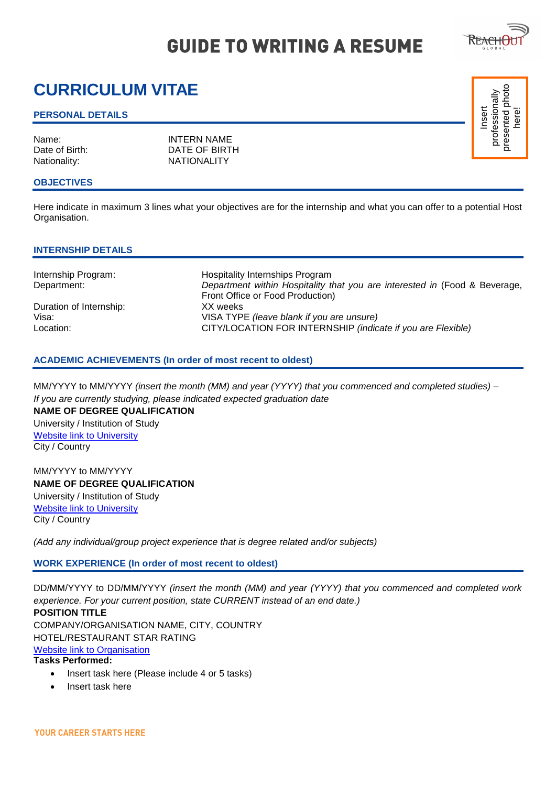# **CURRICULUM VITAE**

#### **PERSONAL DETAILS**

Name: INTERN NAME<br>
Date of Birth: Internal DATE OF BIRT DATE OF BIRTH Nationality: NATIONALITY

#### **OBJECTIVES**

Here indicate in maximum 3 lines what your objectives are for the internship and what you can offer to a potential Host Organisation.

#### **INTERNSHIP DETAILS**

Duration of Internship: XX weeks

Internship Program: Hospitality Internships Program Department: *Department within Hospitality that you are interested in* (Food & Beverage, Front Office or Food Production) Visa: VISA TYPE *(leave blank if you are unsure)* Location: CITY/LOCATION FOR INTERNSHIP *(indicate if you are Flexible)* 

#### **ACADEMIC ACHIEVEMENTS (In order of most recent to oldest)**

MM/YYYY to MM/YYYY *(insert the month (MM) and year (YYYY) that you commenced and completed studies) – If you are currently studying, please indicated expected graduation date*

**NAME OF DEGREE QUALIFICATION**  University / Institution of Study Website link to University City / Country

MM/YYYY to MM/YYYY **NAME OF DEGREE QUALIFICATION**  University / Institution of Study Website link to University City / Country

*(Add any individual/group project experience that is degree related and/or subjects)* 

**WORK EXPERIENCE (In order of most recent to oldest)** 

DD/MM/YYYY to DD/MM/YYYY *(insert the month (MM) and year (YYYY) that you commenced and completed work experience. For your current position, state CURRENT instead of an end date.)*

**POSITION TITLE**  COMPANY/ORGANISATION NAME, CITY, COUNTRY HOTEL/RESTAURANT STAR RATING Website link to Organisation

### **Tasks Performed:**

- Insert task here (Please include 4 or 5 tasks)
- Insert task here



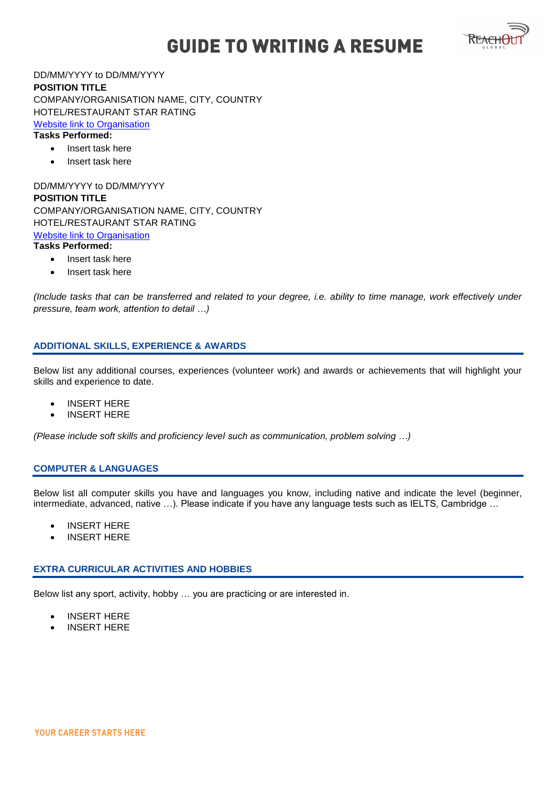

DD/MM/YYYY to DD/MM/YYYY **POSITION TITLE**  COMPANY/ORGANISATION NAME, CITY, COUNTRY HOTEL/RESTAURANT STAR RATING Website link to Organisation **Tasks Performed:** 

- Insert task here
- Insert task here

DD/MM/YYYY to DD/MM/YYYY **POSITION TITLE**  COMPANY/ORGANISATION NAME, CITY, COUNTRY HOTEL/RESTAURANT STAR RATING Website link to Organisation **Tasks Performed:** 

- Insert task here
- Insert task here

*(Include tasks that can be transferred and related to your degree, i.e. ability to time manage, work effectively under pressure, team work, attention to detail …)*

#### **ADDITIONAL SKILLS, EXPERIENCE & AWARDS**

Below list any additional courses, experiences (volunteer work) and awards or achievements that will highlight your skills and experience to date.

- INSERT HERE
- INSERT HERE

*(Please include soft skills and proficiency level such as communication, problem solving …)*

#### **COMPUTER & LANGUAGES**

Below list all computer skills you have and languages you know, including native and indicate the level (beginner, intermediate, advanced, native …). Please indicate if you have any language tests such as IELTS, Cambridge …

- INSERT HERE
- INSERT HERE

## **EXTRA CURRICULAR ACTIVITIES AND HOBBIES**

Below list any sport, activity, hobby … you are practicing or are interested in.

- INSERT HERE
- INSERT HERE